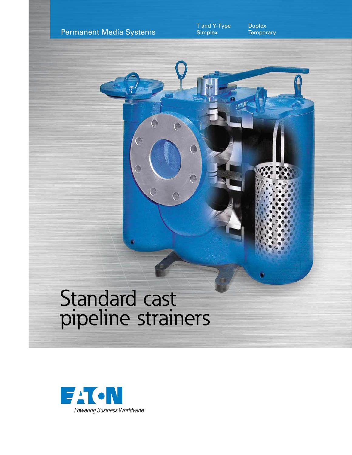

**Duplex Temporary** 

# Standard cast pipeline strainers

 $\bullet$ 

 $\circ$ 

 $\circ$ 

 $\overline{O}$ 

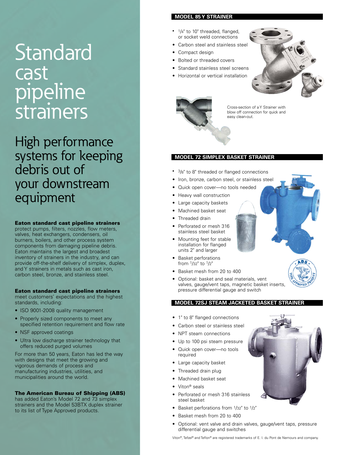# Standard cast pipeline strainers

High performance systems for keeping debris out of your downstream equipment

Eaton standard cast pipeline strainers

protect pumps, filters, nozzles, flow meters, valves, heat exchangers, condensers, oil burners, boilers, and other process system components from damaging pipeline debris. Eaton maintains the largest and broadest inventory of strainers in the industry, and can provide off-the-shelf delivery of simplex, duplex, and Y strainers in metals such as cast iron, carbon steel, bronze, and stainless steel.

#### Eaton standard cast pipeline strainers

meet customers' expectations and the highest standards, including:

- ISO 9001-2008 quality management
- Properly sized components to meet any specified retention requirement and flow rate
- NSF approved coatings
- Ultra low discharge strainer technology that offers reduced purged volumes

For more than 50 years, Eaton has led the way with designs that meet the growing and vigorous demands of process and manufacturing industries, utilities, and municipalities around the world.

#### The American Bureau of Shipping (ABS)

has added Eaton's Model 72 and 73 simplex strainers and the Model 53BTX duplex strainer to its list of Type Approved products.

## **MODEL 85 Y STRAINER**

- $1/4$ " to 10" threaded, flanged, or socket weld connections
- Carbon steel and stainless steel
- Compact design
- Bolted or threaded covers
- Standard stainless steel screens
- Horizontal or vertical installation



Cross-section of a Y Strainer with blow off connection for quick and easy clean-out.

#### **MODEL 72 SIMPLEX BASKET STRAINER**

- <sup>3</sup>/8" to 8" threaded or flanged connections
- Iron, bronze, carbon steel, or stainless steel
- Quick open cover—no tools needed
- Heavy wall construction
- Large capacity baskets
- Machined basket seat
- Threaded drain
- Perforated or mesh 316 stainless steel basket
- Mounting feet for stable installation for flanged units 2" and larger
- Basket perforations from 1/32" to 1/2"
- Basket mesh from 20 to 400
- Optional: basket and seal materials, vent valves, gauge/vent taps, magnetic basket inserts, pressure differential gauge and switch

#### **MODEL 72SJ STEAM JACKETED BASKET STRAINER**

- 1" to 8" flanged connections
- Carbon steel or stainless steel
- NPT steam connections
- Up to 100 psi steam pressure
- Quick open cover—no tools required
- Large capacity basket
- Threaded drain plug
- Machined basket seat
- Viton<sup>®</sup> seals
- Perforated or mesh 316 stainless steel basket
- Basket perforations from 1/32" to 1/2"
- Basket mesh from 20 to 400
- Optional: vent valve and drain valves, gauge/vent taps, pressure differential gauge and switches

Viton®, Tefzel® and Teflon® are registered trademarks of E. I. du Pont de Nemours and company.



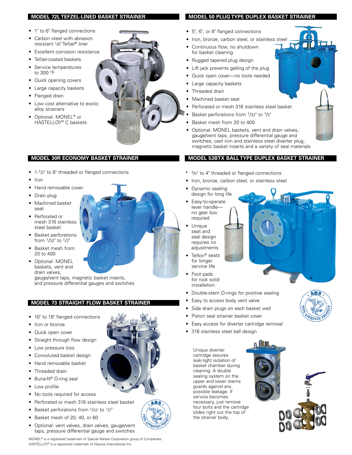#### **MODEL 72L TEFZEL-LINED BASKET STRAINER**

- 1" to 6" flanged connections
- Carbon steel with abrasion resistant 1/8" Tefzel® liner
- Excellent corrosion resistance
- Tefzel-coated baskets
- Service temperatures to 300 °F
- Quick opening covers
- Large capacity baskets
- Flanged drain
- Low cost alternative to exotic alloy strainers
- Optional: MONEL® or HASTELLOY® C baskets



#### **MODEL 30R ECONOMY BASKET STRAINER**

- 1-1/2" to 8" threaded or flanged connections
- Iron
- Hand removable cover
- Drain plug
- Machined basket seat
- Perforated or mesh 316 stainless steel basket
- Basket perforations from 1/32" to 1/2"
- Basket mesh from 20 to 400
- Optional: MONEL baskets, vent and drain valves,

gauge/vent taps, magnetic basket inserts, and pressure differential gauges and switches

# **MODEL 73 STRAIGHT FLOW BASKE**

- 10" to 18" flanged connections
- Iron or bronze
- Quick open cover
- Straight through flow design
- Low pressure loss
- Convoluted basket design
- Hand removable basket
- Threaded drain
- Buna-N® O-ring seal
- Low profile
- No tools required for access
- Perforated or mesh 316 stainless steel basket
- Basket perforations from 1/32" to 1/2"
- Basket mesh of 20, 40, or 60
- Optional: vent valves, drain valves, gauge/vent taps, pressure differential gauge and switches

MONEL® is a registered trademark of Special Metals Corporation group of Companies. HASTELLOY® is a registered trademark of Haynes International Inc.

### **MODEL 50 PLUG TYPE DUPLEX BASKET STRAINER**

- 5", 6", or 8" flanged connections
- Iron, bronze, carbon steel, or stainless steel
- Continuous flow, no shutdown for basket cleaning
- Rugged tapered plug design
- Lift jack prevents galling of the plug
- Quick open cover-no tools needed
- Large capacity baskets
- Threaded drain
- Machined basket seat
- Perforated or mesh 316 stainless steel basket
- Basket perforations from 1/32" to 1/2"
- Basket mesh from 20 to 400
- Optional: MONEL baskets, vent and drain valves, gauge/vent taps, pressure differential gauge and switches, cast iron and stainless steel diverter plug, magnetic basket inserts and a variety of seal materials

#### **MODEL 53BTX BALL TYPE DUPLEX BASKET STRAINER**

- 3/4" to 4" threaded or flanged connections
- Iron, bronze, carbon steel, or stainless steel
- Dynamic sealing design for long life
- Easy-to-operate lever handle no gear box required
- seat and seal design requires no adjustments
- for longer service life
- 
- Double-stem O-rings for positive sealing
- Easy to access body vent valve
- Side drain plugs on each basket well
- Piston seal strainer basket cover
- Easy access for diverter cartridge removal

Unique diverter cartridge assures leak-tight isolation of basket chamber during cleaning. A double sealing system on the upper and lower stems guards against any possible leakage. If service becomes necessary, just remove four bolts and the cartridge slides right out the top of the strainer body.





**ABS** 

PROVED

- Unique
	- Foot pads
		- installation
	- Teflon<sup>®</sup> seats
		- for rock solid
	- -
		-
		-
		-
		-
		- 316 stainless steel ball design